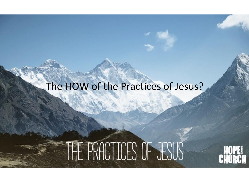## The HOW of the Practices of Jesus?

## THE PRACTICES OF JESUS

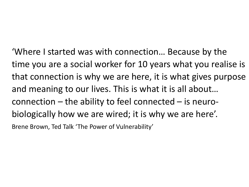'Where I started was with connection… Because by the time you are a social worker for 10 years what you realise is that connection is why we are here, it is what gives purpose and meaning to our lives. This is what it is all about… connection  $-$  the ability to feel connected  $-$  is neurobiologically how we are wired; it is why we are here'. Brene Brown, Ted Talk 'The Power of Vulnerability'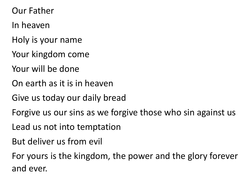Our Father

In heaven

Holy is your name

Your kingdom come

Your will be done

On earth as it is in heaven

Give us today our daily bread

Forgive us our sins as we forgive those who sin against us

Lead us not into temptation

But deliver us from evil

For yours is the kingdom, the power and the glory forever and ever.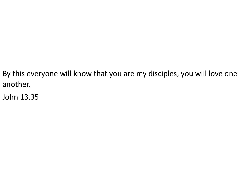- By this everyone will know that you are my disciples, you will love one another.
- John 13.35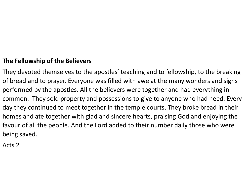## **The Fellowship of the Believers**

They devoted themselves to the apostles' teaching and to fellowship, to the breaking of bread and to prayer. Everyone was filled with awe at the many wonders and signs performed by the apostles. All the believers were together and had everything in common. They sold property and possessions to give to anyone who had need. Every day they continued to meet together in the temple courts. They broke bread in their homes and ate together with glad and sincere hearts, praising God and enjoying the favour of all the people. And the Lord added to their number daily those who were being saved.

Acts 2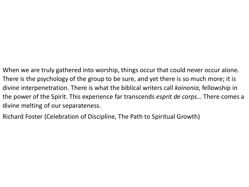When we are truly gathered into worship, things occur that could never occur alone. There is the psychology of the group to be sure, and yet there is so much more; it is divine interpenetration. There is what the biblical writers call *koinonia*, fellowship in the power of the Spirit. This experience far transcends *esprit de corps*… There comes a divine melting of our separateness.

Richard Foster (Celebration of Discipline, The Path to Spiritual Growth)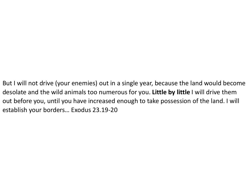But I will not drive (your enemies) out in a single year, because the land would become desolate and the wild animals too numerous for you. **Little by little** I will drive them out before you, until you have increased enough to take possession of the land. I will establish your borders… Exodus 23.19-20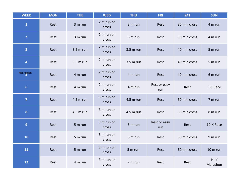| <b>WEEK</b>             | <b>MON</b> | <b>TUE</b> | <b>WED</b>          | <b>THU</b> | <b>FRI</b>          | <b>SAT</b>   | <b>SUN</b>       |
|-------------------------|------------|------------|---------------------|------------|---------------------|--------------|------------------|
| $\mathbf{1}$            | Rest       | 3 m run    | 2 m run or<br>cross | 3 m run    | Rest                | 30 min cross | 4 m run          |
| 2 <sup>1</sup>          | Rest       | 3 m run    | 2 m run or<br>cross | 3 m run    | Rest                | 30 min cross | 4 m run          |
| $\overline{\mathbf{3}}$ | Rest       | 3.5 m run  | 2 m run or<br>cross | 3.5 m run  | Rest                | 40 min cross | 5 m run          |
| $\overline{\mathbf{4}}$ | Rest       | 3.5 m run  | 2 m run or<br>cross | 3.5 m run  | Rest                | 40 min cross | 5 m run          |
| Hal Higdon              | Rest       | 4 m run    | 2 m run or<br>cross | 4 m run    | Rest                | 40 min cross | 6 m run          |
| $6\phantom{a}$          | Rest       | 4 m run    | 2 m run or<br>cross | 4 m run    | Rest or easy<br>run | Rest         | 5-K Race         |
| $\overline{7}$          | Rest       | 4.5 m run  | 3 m run or<br>cross | 4.5 m run  | Rest                | 50 min cross | 7 m run          |
| $\boldsymbol{8}$        | Rest       | 4.5 m run  | 3 m run or<br>cross | 4.5 m run  | Rest                | 50 min cross | 8 m run          |
| $\overline{9}$          | Rest       | 5 m run    | 3 m run or<br>cross | 5 m run    | Rest or easy<br>run | Rest         | 10-K Race        |
| 10                      | Rest       | 5 m run    | 3 m run or<br>cross | 5 m run    | Rest                | 60 min cross | 9 m run          |
| 11                      | Rest       | 5 m run    | 3 m run or<br>cross | 5 m run    | Rest                | 60 min cross | 10 m run         |
| 12                      | Rest       | 4 m run    | 3 m run or<br>cross | 2 m run    | Rest                | Rest         | Half<br>Marathon |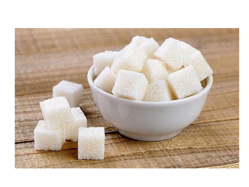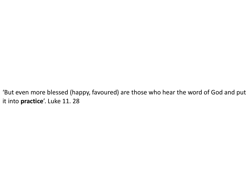'But even more blessed (happy, favoured) are those who hear the word of God and put it into **practice**'. Luke 11. 28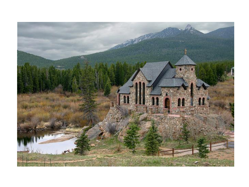